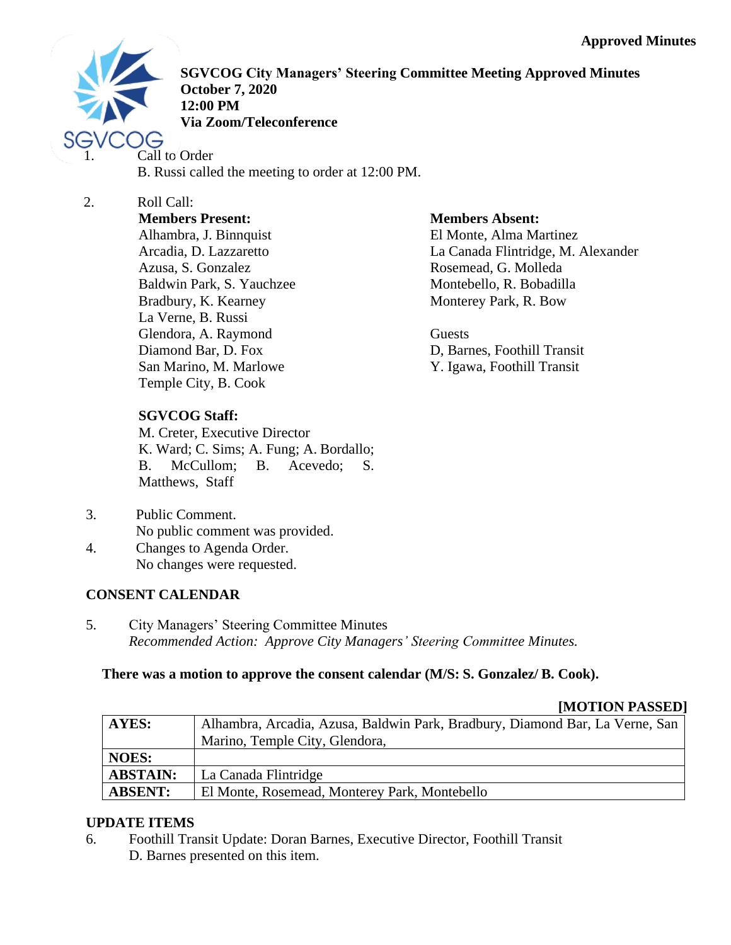

**SGVCOG City Managers' Steering Committee Meeting Approved Minutes October 7, 2020 12:00 PM Via Zoom/Teleconference**

- Call to Order B. Russi called the meeting to order at 12:00 PM.
- 2. Roll Call: **Members Present:**

Alhambra, J. Binnquist Arcadia, D. Lazzaretto Azusa, S. Gonzalez Baldwin Park, S. Yauchzee Bradbury, K. Kearney La Verne, B. Russi Glendora, A. Raymond Diamond Bar, D. Fox San Marino, M. Marlowe Temple City, B. Cook

## **SGVCOG Staff:**

M. Creter, Executive Director K. Ward; C. Sims; A. Fung; A. Bordallo; B. McCullom; B. Acevedo; S. Matthews, Staff

- 3. Public Comment. No public comment was provided.
- 4. Changes to Agenda Order. No changes were requested.

## **CONSENT CALENDAR**

5. City Managers' Steering Committee Minutes *Recommended Action: Approve City Managers' Steering Committee Minutes.*

#### **There was a motion to approve the consent calendar (M/S: S. Gonzalez/ B. Cook).**

#### **[MOTION PASSED]**

| AYES:           | Alhambra, Arcadia, Azusa, Baldwin Park, Bradbury, Diamond Bar, La Verne, San |
|-----------------|------------------------------------------------------------------------------|
|                 | Marino, Temple City, Glendora,                                               |
| <b>NOES:</b>    |                                                                              |
| <b>ABSTAIN:</b> | La Canada Flintridge                                                         |
| <b>ABSENT:</b>  | El Monte, Rosemead, Monterey Park, Montebello                                |

#### **UPDATE ITEMS**

6. Foothill Transit Update: Doran Barnes, Executive Director, Foothill Transit D. Barnes presented on this item.

### **Members Absent:** El Monte, Alma Martinez La Canada Flintridge, M. Alexander Rosemead, G. Molleda Montebello, R. Bobadilla Monterey Park, R. Bow

**Guests** D, Barnes, Foothill Transit Y. Igawa, Foothill Transit